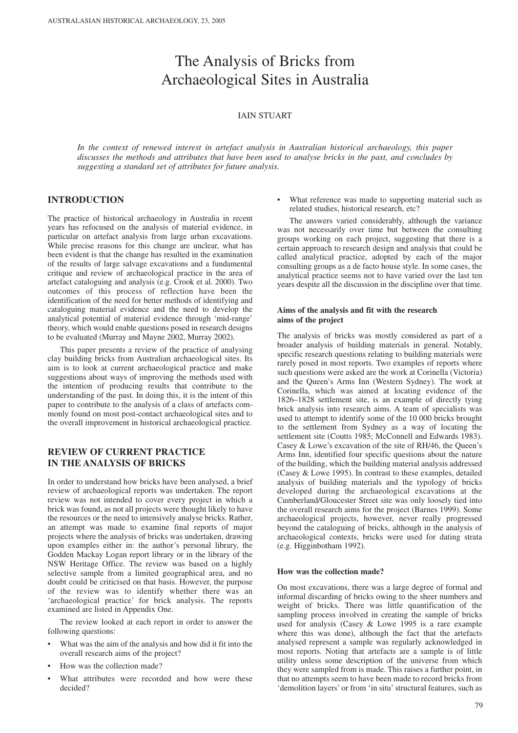# The Analysis of Bricks from Archaeological Sites in Australia

## IAIN STUART

*In the context of renewed interest in artefact analysis in Australian historical archaeology, this paper discusses the methods and attributes that have been used to analyse bricks in the past, and concludes by suggesting a standard set of attributes for future analysis.*

## **INTRODUCTION**

The practice of historical archaeology in Australia in recent years has refocused on the analysis of material evidence, in particular on artefact analysis from large urban excavations. While precise reasons for this change are unclear, what has been evident is that the change has resulted in the examination of the results of large salvage excavations and a fundamental critique and review of archaeological practice in the area of artefact cataloguing and analysis (e.g. Crook et al. 2000). Two outcomes of this process of reflection have been the identification of the need for better methods of identifying and cataloguing material evidence and the need to develop the analytical potential of material evidence through 'mid-range' theory, which would enable questions posed in research designs to be evaluated (Murray and Mayne 2002, Murray 2002).

This paper presents a review of the practice of analysing clay building bricks from Australian archaeological sites. Its aim is to look at current archaeological practice and make suggestions about ways of improving the methods used with the intention of producing results that contribute to the understanding of the past. In doing this, it is the intent of this paper to contribute to the analysis of a class of artefacts commonly found on most post-contact archaeological sites and to the overall improvement in historical archaeological practice.

## **REVIEW OF CURRENT PRACTICE IN THE ANALYSIS OF BRICKS**

In order to understand how bricks have been analysed, a brief review of archaeological reports was undertaken. The report review was not intended to cover every project in which a brick was found, as not all projects were thought likely to have the resources or the need to intensively analyse bricks. Rather, an attempt was made to examine final reports of major projects where the analysis of bricks was undertaken, drawing upon examples either in: the author's personal library, the Godden Mackay Logan report library or in the library of the NSW Heritage Office. The review was based on a highly selective sample from a limited geographical area, and no doubt could be criticised on that basis. However, the purpose of the review was to identify whether there was an 'archaeological practice' for brick analysis. The reports examined are listed in Appendix One.

The review looked at each report in order to answer the following questions:

- What was the aim of the analysis and how did it fit into the overall research aims of the project?
- How was the collection made?
- What attributes were recorded and how were these decided?

What reference was made to supporting material such as related studies, historical research, etc?

The answers varied considerably, although the variance was not necessarily over time but between the consulting groups working on each project, suggesting that there is a certain approach to research design and analysis that could be called analytical practice, adopted by each of the major consulting groups as a de facto house style. In some cases, the analytical practice seems not to have varied over the last ten years despite all the discussion in the discipline over that time.

#### **Aims of the analysis and fit with the research aims of the project**

The analysis of bricks was mostly considered as part of a broader analysis of building materials in general. Notably, specific research questions relating to building materials were rarely posed in most reports. Two examples of reports where such questions were asked are the work at Corinella (Victoria) and the Queen's Arms Inn (Western Sydney). The work at Corinella, which was aimed at locating evidence of the 1826–1828 settlement site, is an example of directly tying brick analysis into research aims. A team of specialists was used to attempt to identify some of the 10 000 bricks brought to the settlement from Sydney as a way of locating the settlement site (Coutts 1985; McConnell and Edwards 1983). Casey & Lowe's excavation of the site of RH/46, the Queen's Arms Inn, identified four specific questions about the nature of the building, which the building material analysis addressed (Casey & Lowe 1995). In contrast to these examples, detailed analysis of building materials and the typology of bricks developed during the archaeological excavations at the Cumberland/Gloucester Street site was only loosely tied into the overall research aims for the project (Barnes 1999). Some archaeological projects, however, never really progressed beyond the cataloguing of bricks, although in the analysis of archaeological contexts, bricks were used for dating strata (e.g. Higginbotham 1992).

#### **How was the collection made?**

On most excavations, there was a large degree of formal and informal discarding of bricks owing to the sheer numbers and weight of bricks. There was little quantification of the sampling process involved in creating the sample of bricks used for analysis (Casey & Lowe 1995 is a rare example where this was done), although the fact that the artefacts analysed represent a sample was regularly acknowledged in most reports. Noting that artefacts are a sample is of little utility unless some description of the universe from which they were sampled from is made. This raises a further point, in that no attempts seem to have been made to record bricks from 'demolition layers' or from 'in situ' structural features, such as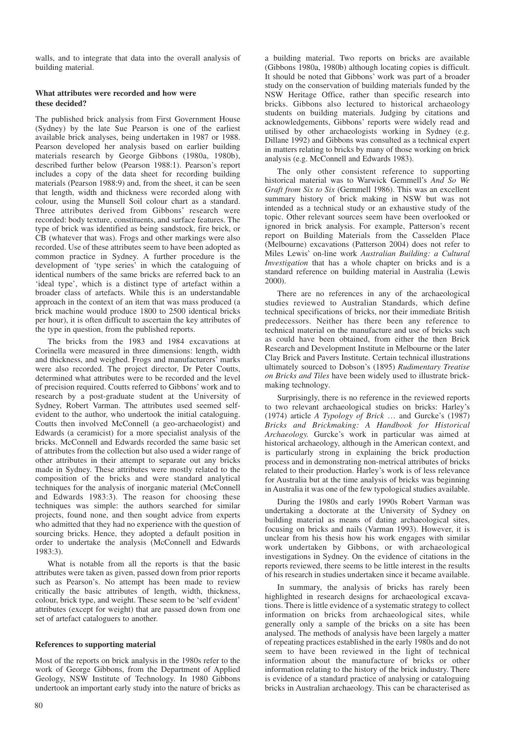walls, and to integrate that data into the overall analysis of building material.

#### **What attributes were recorded and how were these decided?**

The published brick analysis from First Government House (Sydney) by the late Sue Pearson is one of the earliest available brick analyses, being undertaken in 1987 or 1988. Pearson developed her analysis based on earlier building materials research by George Gibbons (1980a, 1980b), described further below (Pearson 1988:1). Pearson's report includes a copy of the data sheet for recording building materials (Pearson 1988:9) and, from the sheet, it can be seen that length, width and thickness were recorded along with colour, using the Munsell Soil colour chart as a standard. Three attributes derived from Gibbons' research were recorded: body texture, constituents, and surface features. The type of brick was identified as being sandstock, fire brick, or CB (whatever that was). Frogs and other markings were also recorded. Use of these attributes seem to have been adopted as common practice in Sydney. A further procedure is the development of 'type series' in which the cataloguing of identical numbers of the same bricks are referred back to an 'ideal type', which is a distinct type of artefact within a broader class of artefacts. While this is an understandable approach in the context of an item that was mass produced (a brick machine would produce 1800 to 2500 identical bricks per hour), it is often difficult to ascertain the key attributes of the type in question, from the published reports.

The bricks from the 1983 and 1984 excavations at Corinella were measured in three dimensions: length, width and thickness, and weighed. Frogs and manufacturers' marks were also recorded. The project director, Dr Peter Coutts, determined what attributes were to be recorded and the level of precision required. Coutts referred to Gibbons' work and to research by a post-graduate student at the University of Sydney, Robert Varman. The attributes used seemed selfevident to the author, who undertook the initial cataloguing. Coutts then involved McConnell (a geo-archaeologist) and Edwards (a ceramicist) for a more specialist analysis of the bricks. McConnell and Edwards recorded the same basic set of attributes from the collection but also used a wider range of other attributes in their attempt to separate out any bricks made in Sydney. These attributes were mostly related to the composition of the bricks and were standard analytical techniques for the analysis of inorganic material (McConnell and Edwards 1983:3). The reason for choosing these techniques was simple: the authors searched for similar projects, found none, and then sought advice from experts who admitted that they had no experience with the question of sourcing bricks. Hence, they adopted a default position in order to undertake the analysis (McConnell and Edwards 1983:3).

What is notable from all the reports is that the basic attributes were taken as given, passed down from prior reports such as Pearson's. No attempt has been made to review critically the basic attributes of length, width, thickness, colour, brick type, and weight. These seem to be 'self evident' attributes (except for weight) that are passed down from one set of artefact cataloguers to another.

## **References to supporting material**

Most of the reports on brick analysis in the 1980s refer to the work of George Gibbons, from the Department of Applied Geology, NSW Institute of Technology. In 1980 Gibbons undertook an important early study into the nature of bricks as a building material. Two reports on bricks are available (Gibbons 1980a, 1980b) although locating copies is difficult. It should be noted that Gibbons' work was part of a broader study on the conservation of building materials funded by the NSW Heritage Office, rather than specific research into bricks. Gibbons also lectured to historical archaeology students on building materials. Judging by citations and acknowledgements, Gibbons' reports were widely read and utilised by other archaeologists working in Sydney (e.g. Dillane 1992) and Gibbons was consulted as a technical expert in matters relating to bricks by many of those working on brick analysis (e.g. McConnell and Edwards 1983).

The only other consistent reference to supporting historical material was to Warwick Gemmell's *And So We Graft from Six to Six* (Gemmell 1986). This was an excellent summary history of brick making in NSW but was not intended as a technical study or an exhaustive study of the topic. Other relevant sources seem have been overlooked or ignored in brick analysis. For example, Patterson's recent report on Building Materials from the Casselden Place (Melbourne) excavations (Patterson 2004) does not refer to Miles Lewis' on-line work *Australian Building: a Cultural Investigation* that has a whole chapter on bricks and is a standard reference on building material in Australia (Lewis 2000).

There are no references in any of the archaeological studies reviewed to Australian Standards, which define technical specifications of bricks, nor their immediate British predecessors. Neither has there been any reference to technical material on the manufacture and use of bricks such as could have been obtained, from either the then Brick Research and Development Institute in Melbourne or the later Clay Brick and Pavers Institute. Certain technical illustrations ultimately sourced to Dobson's (1895) *Rudimentary Treatise on Bricks and Tiles* have been widely used to illustrate brickmaking technology.

Surprisingly, there is no reference in the reviewed reports to two relevant archaeological studies on bricks: Harley's (1974) article *A Typology of Brick* … and Gurcke's (1987) *Bricks and Brickmaking: A Handbook for Historical Archaeology.* Gurcke's work in particular was aimed at historical archaeology, although in the American context, and is particularly strong in explaining the brick production process and in demonstrating non-metrical attributes of bricks related to their production. Harley's work is of less relevance for Australia but at the time analysis of bricks was beginning in Australia it was one of the few typological studies available.

During the 1980s and early 1990s Robert Varman was undertaking a doctorate at the University of Sydney on building material as means of dating archaeological sites, focusing on bricks and nails (Varman 1993). However, it is unclear from his thesis how his work engages with similar work undertaken by Gibbons, or with archaeological investigations in Sydney. On the evidence of citations in the reports reviewed, there seems to be little interest in the results of his research in studies undertaken since it became available.

In summary, the analysis of bricks has rarely been highlighted in research designs for archaeological excavations. There is little evidence of a systematic strategy to collect information on bricks from archaeological sites, while generally only a sample of the bricks on a site has been analysed. The methods of analysis have been largely a matter of repeating practices established in the early 1980s and do not seem to have been reviewed in the light of technical information about the manufacture of bricks or other information relating to the history of the brick industry. There is evidence of a standard practice of analysing or cataloguing bricks in Australian archaeology. This can be characterised as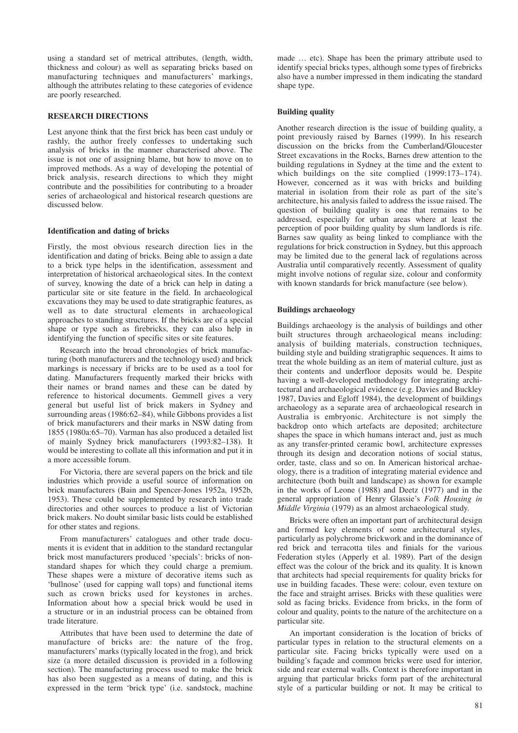using a standard set of metrical attributes, (length, width, thickness and colour) as well as separating bricks based on manufacturing techniques and manufacturers' markings, although the attributes relating to these categories of evidence are poorly researched.

#### **RESEARCH DIRECTIONS**

Lest anyone think that the first brick has been cast unduly or rashly, the author freely confesses to undertaking such analysis of bricks in the manner characterised above. The issue is not one of assigning blame, but how to move on to improved methods. As a way of developing the potential of brick analysis, research directions to which they might contribute and the possibilities for contributing to a broader series of archaeological and historical research questions are discussed below.

## **Identification and dating of bricks**

Firstly, the most obvious research direction lies in the identification and dating of bricks. Being able to assign a date to a brick type helps in the identification, assessment and interpretation of historical archaeological sites. In the context of survey, knowing the date of a brick can help in dating a particular site or site feature in the field. In archaeological excavations they may be used to date stratigraphic features, as well as to date structural elements in archaeological approaches to standing structures. If the bricks are of a special shape or type such as firebricks, they can also help in identifying the function of specific sites or site features.

Research into the broad chronologies of brick manufacturing (both manufacturers and the technology used) and brick markings is necessary if bricks are to be used as a tool for dating. Manufacturers frequently marked their bricks with their names or brand names and these can be dated by reference to historical documents. Gemmell gives a very general but useful list of brick makers in Sydney and surrounding areas (1986:62–84), while Gibbons provides a list of brick manufacturers and their marks in NSW dating from 1855 (1980a:65–70). Varman has also produced a detailed list of mainly Sydney brick manufacturers (1993:82–138). It would be interesting to collate all this information and put it in a more accessible forum.

For Victoria, there are several papers on the brick and tile industries which provide a useful source of information on brick manufacturers (Bain and Spencer-Jones 1952a, 1952b, 1953). These could be supplemented by research into trade directories and other sources to produce a list of Victorian brick makers. No doubt similar basic lists could be established for other states and regions.

From manufacturers' catalogues and other trade documents it is evident that in addition to the standard rectangular brick most manufacturers produced 'specials': bricks of nonstandard shapes for which they could charge a premium. These shapes were a mixture of decorative items such as 'bullnose' (used for capping wall tops) and functional items such as crown bricks used for keystones in arches. Information about how a special brick would be used in a structure or in an industrial process can be obtained from trade literature.

Attributes that have been used to determine the date of manufacture of bricks are: the nature of the frog, manufacturers' marks (typically located in the frog), and brick size (a more detailed discussion is provided in a following section). The manufacturing process used to make the brick has also been suggested as a means of dating, and this is expressed in the term 'brick type' (i.e. sandstock, machine

made … etc). Shape has been the primary attribute used to identify special bricks types, although some types of firebricks also have a number impressed in them indicating the standard shape type.

#### **Building quality**

Another research direction is the issue of building quality, a point previously raised by Barnes (1999). In his research discussion on the bricks from the Cumberland/Gloucester Street excavations in the Rocks, Barnes drew attention to the building regulations in Sydney at the time and the extent to which buildings on the site complied (1999:173–174). However, concerned as it was with bricks and building material in isolation from their role as part of the site's architecture, his analysis failed to address the issue raised. The question of building quality is one that remains to be addressed, especially for urban areas where at least the perception of poor building quality by slum landlords is rife. Barnes saw quality as being linked to compliance with the regulations for brick construction in Sydney, but this approach may be limited due to the general lack of regulations across Australia until comparatively recently. Assessment of quality might involve notions of regular size, colour and conformity with known standards for brick manufacture (see below).

#### **Buildings archaeology**

Buildings archaeology is the analysis of buildings and other built structures through archaeological means including: analysis of building materials, construction techniques, building style and building stratigraphic sequences. It aims to treat the whole building as an item of material culture, just as their contents and underfloor deposits would be. Despite having a well-developed methodology for integrating architectural and archaeological evidence (e.g. Davies and Buckley 1987, Davies and Egloff 1984), the development of buildings archaeology as a separate area of archaeological research in Australia is embryonic. Architecture is not simply the backdrop onto which artefacts are deposited; architecture shapes the space in which humans interact and, just as much as any transfer-printed ceramic bowl, architecture expresses through its design and decoration notions of social status, order, taste, class and so on. In American historical archaeology, there is a tradition of integrating material evidence and architecture (both built and landscape) as shown for example in the works of Leone (1988) and Deetz (1977) and in the general appropriation of Henry Glassie's *Folk Housing in Middle Virginia* (1979) as an almost archaeological study.

Bricks were often an important part of architectural design and formed key elements of some architectural styles, particularly as polychrome brickwork and in the dominance of red brick and terracotta tiles and finials for the various Federation styles (Apperly et al. 1989). Part of the design effect was the colour of the brick and its quality. It is known that architects had special requirements for quality bricks for use in building facades. These were: colour, even texture on the face and straight arrises. Bricks with these qualities were sold as facing bricks. Evidence from bricks, in the form of colour and quality, points to the nature of the architecture on a particular site.

An important consideration is the location of bricks of particular types in relation to the structural elements on a particular site. Facing bricks typically were used on a building's façade and common bricks were used for interior, side and rear external walls. Context is therefore important in arguing that particular bricks form part of the architectural style of a particular building or not. It may be critical to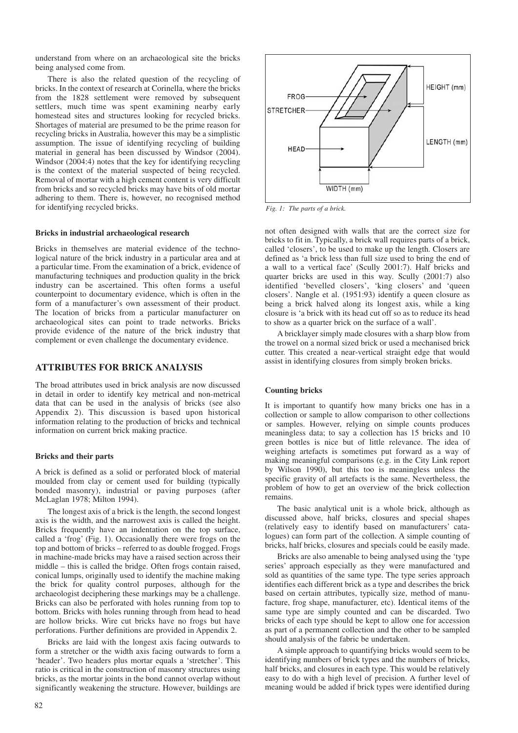understand from where on an archaeological site the bricks being analysed come from.

There is also the related question of the recycling of bricks. In the context of research at Corinella, where the bricks from the 1828 settlement were removed by subsequent settlers, much time was spent examining nearby early homestead sites and structures looking for recycled bricks. Shortages of material are presumed to be the prime reason for recycling bricks in Australia, however this may be a simplistic assumption. The issue of identifying recycling of building material in general has been discussed by Windsor (2004). Windsor (2004:4) notes that the key for identifying recycling is the context of the material suspected of being recycled. Removal of mortar with a high cement content is very difficult from bricks and so recycled bricks may have bits of old mortar adhering to them. There is, however, no recognised method for identifying recycled bricks.

#### **Bricks in industrial archaeological research**

Bricks in themselves are material evidence of the technological nature of the brick industry in a particular area and at a particular time. From the examination of a brick, evidence of manufacturing techniques and production quality in the brick industry can be ascertained. This often forms a useful counterpoint to documentary evidence, which is often in the form of a manufacturer's own assessment of their product. The location of bricks from a particular manufacturer on archaeological sites can point to trade networks. Bricks provide evidence of the nature of the brick industry that complement or even challenge the documentary evidence.

## **ATTRIBUTES FOR BRICK ANALYSIS**

The broad attributes used in brick analysis are now discussed in detail in order to identify key metrical and non-metrical data that can be used in the analysis of bricks (see also Appendix 2). This discussion is based upon historical information relating to the production of bricks and technical information on current brick making practice.

#### **Bricks and their parts**

A brick is defined as a solid or perforated block of material moulded from clay or cement used for building (typically bonded masonry), industrial or paving purposes (after McLaglan 1978; Milton 1994).

The longest axis of a brick is the length, the second longest axis is the width, and the narrowest axis is called the height. Bricks frequently have an indentation on the top surface, called a 'frog' (Fig. 1). Occasionally there were frogs on the top and bottom of bricks – referred to as double frogged. Frogs in machine-made bricks may have a raised section across their middle – this is called the bridge. Often frogs contain raised, conical lumps, originally used to identify the machine making the brick for quality control purposes, although for the archaeologist deciphering these markings may be a challenge. Bricks can also be perforated with holes running from top to bottom. Bricks with holes running through from head to head are hollow bricks. Wire cut bricks have no frogs but have perforations. Further definitions are provided in Appendix 2.

Bricks are laid with the longest axis facing outwards to form a stretcher or the width axis facing outwards to form a 'header'. Two headers plus mortar equals a 'stretcher'. This ratio is critical in the construction of masonry structures using bricks, as the mortar joints in the bond cannot overlap without significantly weakening the structure. However, buildings are



*Fig. 1: The parts of a brick.*

not often designed with walls that are the correct size for bricks to fit in. Typically, a brick wall requires parts of a brick, called 'closers', to be used to make up the length. Closers are defined as 'a brick less than full size used to bring the end of a wall to a vertical face' (Scully 2001:7). Half bricks and quarter bricks are used in this way. Scully (2001:7) also identified 'bevelled closers', 'king closers' and 'queen closers'. Nangle et al. (1951:93) identify a queen closure as being a brick halved along its longest axis, while a king closure is 'a brick with its head cut off so as to reduce its head to show as a quarter brick on the surface of a wall'.

A bricklayer simply made closures with a sharp blow from the trowel on a normal sized brick or used a mechanised brick cutter. This created a near-vertical straight edge that would assist in identifying closures from simply broken bricks.

#### **Counting bricks**

It is important to quantify how many bricks one has in a collection or sample to allow comparison to other collections or samples. However, relying on simple counts produces meaningless data; to say a collection has 15 bricks and 10 green bottles is nice but of little relevance. The idea of weighing artefacts is sometimes put forward as a way of making meaningful comparisons (e.g. in the City Link report by Wilson 1990), but this too is meaningless unless the specific gravity of all artefacts is the same. Nevertheless, the problem of how to get an overview of the brick collection remains.

The basic analytical unit is a whole brick, although as discussed above, half bricks, closures and special shapes (relatively easy to identify based on manufacturers' catalogues) can form part of the collection. A simple counting of bricks, half bricks, closures and specials could be easily made.

Bricks are also amenable to being analysed using the 'type series' approach especially as they were manufactured and sold as quantities of the same type. The type series approach identifies each different brick as a type and describes the brick based on certain attributes, typically size, method of manufacture, frog shape, manufacturer, etc). Identical items of the same type are simply counted and can be discarded. Two bricks of each type should be kept to allow one for accession as part of a permanent collection and the other to be sampled should analysis of the fabric be undertaken.

A simple approach to quantifying bricks would seem to be identifying numbers of brick types and the numbers of bricks, half bricks, and closures in each type. This would be relatively easy to do with a high level of precision. A further level of meaning would be added if brick types were identified during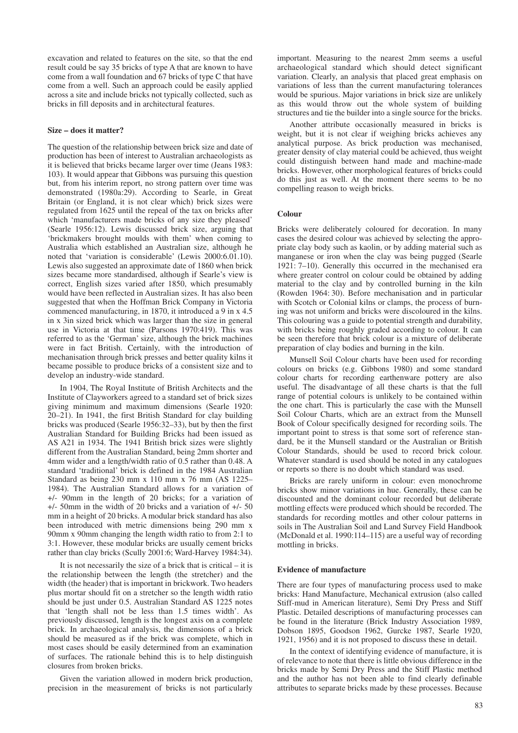excavation and related to features on the site, so that the end result could be say 35 bricks of type A that are known to have come from a wall foundation and 67 bricks of type C that have come from a well. Such an approach could be easily applied across a site and include bricks not typically collected, such as bricks in fill deposits and in architectural features.

#### **Size – does it matter?**

The question of the relationship between brick size and date of production has been of interest to Australian archaeologists as it is believed that bricks became larger over time (Jeans 1983: 103). It would appear that Gibbons was pursuing this question but, from his interim report, no strong pattern over time was demonstrated (1980a:29). According to Searle, in Great Britain (or England, it is not clear which) brick sizes were regulated from 1625 until the repeal of the tax on bricks after which 'manufacturers made bricks of any size they pleased' (Searle 1956:12). Lewis discussed brick size, arguing that 'brickmakers brought moulds with them' when coming to Australia which established an Australian size, although he noted that 'variation is considerable' (Lewis 2000:6.01.10). Lewis also suggested an approximate date of 1860 when brick sizes became more standardised, although if Searle's view is correct, English sizes varied after 1850, which presumably would have been reflected in Australian sizes. It has also been suggested that when the Hoffman Brick Company in Victoria commenced manufacturing, in 1870, it introduced a 9 in x 4.5 in x 3in sized brick which was larger than the size in general use in Victoria at that time (Parsons 1970:419). This was referred to as the 'German' size, although the brick machines were in fact British. Certainly, with the introduction of mechanisation through brick presses and better quality kilns it became possible to produce bricks of a consistent size and to develop an industry-wide standard.

In 1904, The Royal Institute of British Architects and the Institute of Clayworkers agreed to a standard set of brick sizes giving minimum and maximum dimensions (Searle 1920: 20–21). In 1941, the first British Standard for clay building bricks was produced (Searle 1956:32–33), but by then the first Australian Standard for Building Bricks had been issued as AS A21 in 1934. The 1941 British brick sizes were slightly different from the Australian Standard, being 2mm shorter and 4mm wider and a length/width ratio of 0.5 rather than 0.48. A standard 'traditional' brick is defined in the 1984 Australian Standard as being 230 mm x 110 mm x 76 mm (AS 1225– 1984). The Australian Standard allows for a variation of +/- 90mm in the length of 20 bricks; for a variation of +/- 50mm in the width of 20 bricks and a variation of +/- 50 mm in a height of 20 bricks. A modular brick standard has also been introduced with metric dimensions being 290 mm x 90mm x 90mm changing the length width ratio to from 2:1 to 3:1. However, these modular bricks are usually cement bricks rather than clay bricks (Scully 2001:6; Ward-Harvey 1984:34).

It is not necessarily the size of a brick that is critical – it is the relationship between the length (the stretcher) and the width (the header) that is important in brickwork. Two headers plus mortar should fit on a stretcher so the length width ratio should be just under 0.5. Australian Standard AS 1225 notes that 'length shall not be less than 1.5 times width'. As previously discussed, length is the longest axis on a complete brick. In archaeological analysis, the dimensions of a brick should be measured as if the brick was complete, which in most cases should be easily determined from an examination of surfaces. The rationale behind this is to help distinguish closures from broken bricks.

Given the variation allowed in modern brick production, precision in the measurement of bricks is not particularly

important. Measuring to the nearest 2mm seems a useful archaeological standard which should detect significant variation. Clearly, an analysis that placed great emphasis on variations of less than the current manufacturing tolerances would be spurious. Major variations in brick size are unlikely as this would throw out the whole system of building structures and tie the builder into a single source for the bricks.

Another attribute occasionally measured in bricks is weight, but it is not clear if weighing bricks achieves any analytical purpose. As brick production was mechanised, greater density of clay material could be achieved, thus weight could distinguish between hand made and machine-made bricks. However, other morphological features of bricks could do this just as well. At the moment there seems to be no compelling reason to weigh bricks.

#### **Colour**

Bricks were deliberately coloured for decoration. In many cases the desired colour was achieved by selecting the appropriate clay body such as kaolin, or by adding material such as manganese or iron when the clay was being pugged (Searle 1921: 7–10). Generally this occurred in the mechanised era where greater control on colour could be obtained by adding material to the clay and by controlled burning in the kiln (Rowden 1964: 30). Before mechanisation and in particular with Scotch or Colonial kilns or clamps, the process of burning was not uniform and bricks were discoloured in the kilns. This colouring was a guide to potential strength and durability, with bricks being roughly graded according to colour. It can be seen therefore that brick colour is a mixture of deliberate preparation of clay bodies and burning in the kiln.

Munsell Soil Colour charts have been used for recording colours on bricks (e.g. Gibbons 1980) and some standard colour charts for recording earthenware pottery are also useful. The disadvantage of all these charts is that the full range of potential colours is unlikely to be contained within the one chart. This is particularly the case with the Munsell Soil Colour Charts, which are an extract from the Munsell Book of Colour specifically designed for recording soils. The important point to stress is that some sort of reference standard, be it the Munsell standard or the Australian or British Colour Standards, should be used to record brick colour. Whatever standard is used should be noted in any catalogues or reports so there is no doubt which standard was used.

Bricks are rarely uniform in colour: even monochrome bricks show minor variations in hue. Generally, these can be discounted and the dominant colour recorded but deliberate mottling effects were produced which should be recorded. The standards for recording mottles and other colour patterns in soils in The Australian Soil and Land Survey Field Handbook (McDonald et al. 1990:114–115) are a useful way of recording mottling in bricks.

#### **Evidence of manufacture**

There are four types of manufacturing process used to make bricks: Hand Manufacture, Mechanical extrusion (also called Stiff-mud in American literature), Semi Dry Press and Stiff Plastic. Detailed descriptions of manufacturing processes can be found in the literature (Brick Industry Association 1989, Dobson 1895, Goodson 1962, Gurcke 1987, Searle 1920, 1921, 1956) and it is not proposed to discuss these in detail.

In the context of identifying evidence of manufacture, it is of relevance to note that there is little obvious difference in the bricks made by Semi Dry Press and the Stiff Plastic method and the author has not been able to find clearly definable attributes to separate bricks made by these processes. Because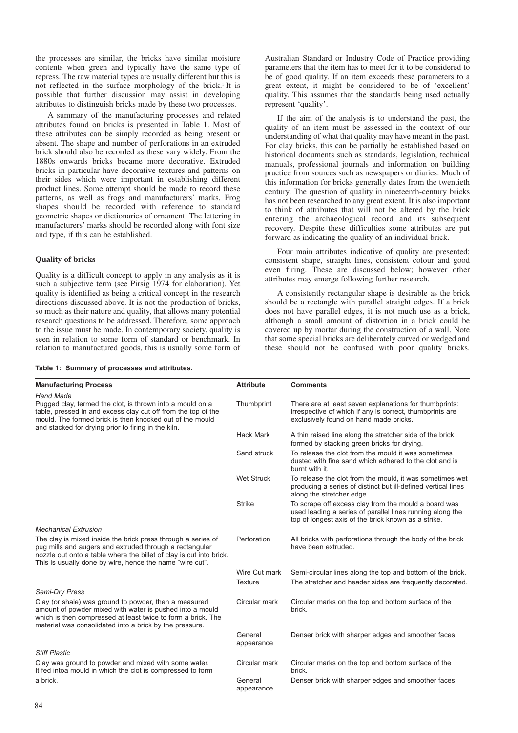the processes are similar, the bricks have similar moisture contents when green and typically have the same type of repress. The raw material types are usually different but this is not reflected in the surface morphology of the brick.<sup>1</sup> It is possible that further discussion may assist in developing attributes to distinguish bricks made by these two processes.

A summary of the manufacturing processes and related attributes found on bricks is presented in Table 1. Most of these attributes can be simply recorded as being present or absent. The shape and number of perforations in an extruded brick should also be recorded as these vary widely. From the 1880s onwards bricks became more decorative. Extruded bricks in particular have decorative textures and patterns on their sides which were important in establishing different product lines. Some attempt should be made to record these patterns, as well as frogs and manufacturers' marks. Frog shapes should be recorded with reference to standard geometric shapes or dictionaries of ornament. The lettering in manufacturers' marks should be recorded along with font size and type, if this can be established.

#### **Quality of bricks**

Quality is a difficult concept to apply in any analysis as it is such a subjective term (see Pirsig 1974 for elaboration). Yet quality is identified as being a critical concept in the research directions discussed above. It is not the production of bricks, so much as their nature and quality, that allows many potential research questions to be addressed. Therefore, some approach to the issue must be made. In contemporary society, quality is seen in relation to some form of standard or benchmark. In relation to manufactured goods, this is usually some form of Australian Standard or Industry Code of Practice providing parameters that the item has to meet for it to be considered to be of good quality. If an item exceeds these parameters to a great extent, it might be considered to be of 'excellent' quality. This assumes that the standards being used actually represent 'quality'.

If the aim of the analysis is to understand the past, the quality of an item must be assessed in the context of our understanding of what that quality may have meant in the past. For clay bricks, this can be partially be established based on historical documents such as standards, legislation, technical manuals, professional journals and information on building practice from sources such as newspapers or diaries. Much of this information for bricks generally dates from the twentieth century. The question of quality in nineteenth-century bricks has not been researched to any great extent. It is also important to think of attributes that will not be altered by the brick entering the archaeological record and its subsequent recovery. Despite these difficulties some attributes are put forward as indicating the quality of an individual brick.

Four main attributes indicative of quality are presented: consistent shape, straight lines, consistent colour and good even firing. These are discussed below; however other attributes may emerge following further research.

A consistently rectangular shape is desirable as the brick should be a rectangle with parallel straight edges. If a brick does not have parallel edges, it is not much use as a brick, although a small amount of distortion in a brick could be covered up by mortar during the construction of a wall. Note that some special bricks are deliberately curved or wedged and these should not be confused with poor quality bricks.

| Table 1: Summary of processes and attributes. |  |  |  |  |
|-----------------------------------------------|--|--|--|--|
|-----------------------------------------------|--|--|--|--|

| <b>Manufacturing Process</b>                                                                                                                                                                                                                                      | <b>Attribute</b>      | <b>Comments</b>                                                                                                                                                          |  |
|-------------------------------------------------------------------------------------------------------------------------------------------------------------------------------------------------------------------------------------------------------------------|-----------------------|--------------------------------------------------------------------------------------------------------------------------------------------------------------------------|--|
| <b>Hand Made</b><br>Pugged clay, termed the clot, is thrown into a mould on a<br>table, pressed in and excess clay cut off from the top of the<br>mould. The formed brick is then knocked out of the mould<br>and stacked for drying prior to firing in the kiln. | Thumbprint            | There are at least seven explanations for thumbprints:<br>irrespective of which if any is correct, thumbprints are<br>exclusively found on hand made bricks.             |  |
|                                                                                                                                                                                                                                                                   | <b>Hack Mark</b>      | A thin raised line along the stretcher side of the brick<br>formed by stacking green bricks for drying.                                                                  |  |
|                                                                                                                                                                                                                                                                   | Sand struck           | To release the clot from the mould it was sometimes<br>dusted with fine sand which adhered to the clot and is<br>burnt with it.                                          |  |
|                                                                                                                                                                                                                                                                   | <b>Wet Struck</b>     | To release the clot from the mould, it was sometimes wet<br>producing a series of distinct but ill-defined vertical lines<br>along the stretcher edge.                   |  |
|                                                                                                                                                                                                                                                                   | <b>Strike</b>         | To scrape off excess clay from the mould a board was<br>used leading a series of parallel lines running along the<br>top of longest axis of the brick known as a strike. |  |
| <b>Mechanical Extrusion</b>                                                                                                                                                                                                                                       |                       |                                                                                                                                                                          |  |
| The clay is mixed inside the brick press through a series of<br>pug mills and augers and extruded through a rectangular<br>nozzle out onto a table where the billet of clay is cut into brick.<br>This is usually done by wire, hence the name "wire cut".        | Perforation           | All bricks with perforations through the body of the brick<br>have been extruded.                                                                                        |  |
|                                                                                                                                                                                                                                                                   | Wire Cut mark         | Semi-circular lines along the top and bottom of the brick.                                                                                                               |  |
|                                                                                                                                                                                                                                                                   | Texture               | The stretcher and header sides are frequently decorated.                                                                                                                 |  |
| Semi-Dry Press                                                                                                                                                                                                                                                    |                       |                                                                                                                                                                          |  |
| Clay (or shale) was ground to powder, then a measured<br>amount of powder mixed with water is pushed into a mould<br>which is then compressed at least twice to form a brick. The<br>material was consolidated into a brick by the pressure.                      | Circular mark         | Circular marks on the top and bottom surface of the<br>brick.                                                                                                            |  |
|                                                                                                                                                                                                                                                                   | General<br>appearance | Denser brick with sharper edges and smoother faces.                                                                                                                      |  |
| <b>Stiff Plastic</b>                                                                                                                                                                                                                                              |                       |                                                                                                                                                                          |  |
| Clay was ground to powder and mixed with some water.<br>It fed intoa mould in which the clot is compressed to form                                                                                                                                                | Circular mark         | Circular marks on the top and bottom surface of the<br>brick.                                                                                                            |  |
| a brick.                                                                                                                                                                                                                                                          | General<br>appearance | Denser brick with sharper edges and smoother faces.                                                                                                                      |  |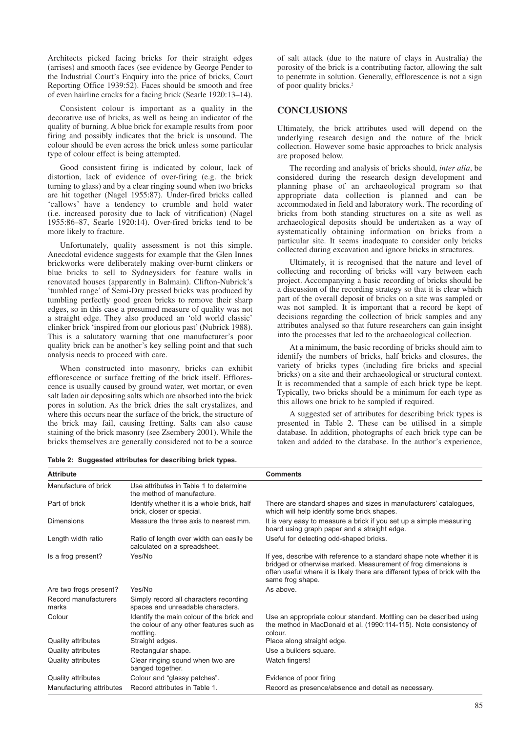Architects picked facing bricks for their straight edges (arrises) and smooth faces (see evidence by George Pender to the Industrial Court's Enquiry into the price of bricks, Court Reporting Office 1939:52). Faces should be smooth and free of even hairline cracks for a facing brick (Searle 1920:13–14).

Consistent colour is important as a quality in the decorative use of bricks, as well as being an indicator of the quality of burning. A blue brick for example results from poor firing and possibly indicates that the brick is unsound. The colour should be even across the brick unless some particular type of colour effect is being attempted.

Good consistent firing is indicated by colour, lack of distortion, lack of evidence of over-firing (e.g. the brick turning to glass) and by a clear ringing sound when two bricks are hit together (Nagel 1955:87). Under-fired bricks called 'callows' have a tendency to crumble and hold water (i.e. increased porosity due to lack of vitrification) (Nagel 1955:86–87, Searle 1920:14). Over-fired bricks tend to be more likely to fracture.

Unfortunately, quality assessment is not this simple. Anecdotal evidence suggests for example that the Glen Innes brickworks were deliberately making over-burnt clinkers or blue bricks to sell to Sydneysiders for feature walls in renovated houses (apparently in Balmain). Clifton-Nubrick's 'tumbled range' of Semi-Dry pressed bricks was produced by tumbling perfectly good green bricks to remove their sharp edges, so in this case a presumed measure of quality was not a straight edge. They also produced an 'old world classic' clinker brick 'inspired from our glorious past' (Nubrick 1988). This is a salutatory warning that one manufacturer's poor quality brick can be another's key selling point and that such analysis needs to proceed with care.

When constructed into masonry, bricks can exhibit efflorescence or surface fretting of the brick itself. Efflorescence is usually caused by ground water, wet mortar, or even salt laden air depositing salts which are absorbed into the brick pores in solution. As the brick dries the salt crystalizes, and where this occurs near the surface of the brick, the structure of the brick may fail, causing fretting. Salts can also cause staining of the brick masonry (see Zsembery 2001). While the bricks themselves are generally considered not to be a source

**Table 2: Suggested attributes for describing brick types.**

of salt attack (due to the nature of clays in Australia) the porosity of the brick is a contributing factor, allowing the salt to penetrate in solution. Generally, efflorescence is not a sign of poor quality bricks.2

## **CONCLUSIONS**

Ultimately, the brick attributes used will depend on the underlying research design and the nature of the brick collection. However some basic approaches to brick analysis are proposed below.

The recording and analysis of bricks should, *inter alia*, be considered during the research design development and planning phase of an archaeological program so that appropriate data collection is planned and can be accommodated in field and laboratory work. The recording of bricks from both standing structures on a site as well as archaeological deposits should be undertaken as a way of systematically obtaining information on bricks from a particular site. It seems inadequate to consider only bricks collected during excavation and ignore bricks in structures.

Ultimately, it is recognised that the nature and level of collecting and recording of bricks will vary between each project. Accompanying a basic recording of bricks should be a discussion of the recording strategy so that it is clear which part of the overall deposit of bricks on a site was sampled or was not sampled. It is important that a record be kept of decisions regarding the collection of brick samples and any attributes analysed so that future researchers can gain insight into the processes that led to the archaeological collection.

At a minimum, the basic recording of bricks should aim to identify the numbers of bricks, half bricks and closures, the variety of bricks types (including fire bricks and special bricks) on a site and their archaeological or structural context. It is recommended that a sample of each brick type be kept. Typically, two bricks should be a minimum for each type as this allows one brick to be sampled if required.

A suggested set of attributes for describing brick types is presented in Table 2. These can be utilised in a simple database. In addition, photographs of each brick type can be taken and added to the database. In the author's experience,

| <b>Attribute</b>              |                                                                                                    | <b>Comments</b>                                                                                                                                                                                                                             |  |  |  |
|-------------------------------|----------------------------------------------------------------------------------------------------|---------------------------------------------------------------------------------------------------------------------------------------------------------------------------------------------------------------------------------------------|--|--|--|
| Manufacture of brick          | Use attributes in Table 1 to determine<br>the method of manufacture.                               |                                                                                                                                                                                                                                             |  |  |  |
| Part of brick                 | Identify whether it is a whole brick, half<br>brick, closer or special.                            | There are standard shapes and sizes in manufacturers' catalogues,<br>which will help identify some brick shapes.                                                                                                                            |  |  |  |
| <b>Dimensions</b>             | Measure the three axis to nearest mm.                                                              | It is very easy to measure a brick if you set up a simple measuring<br>board using graph paper and a straight edge.                                                                                                                         |  |  |  |
| Length width ratio            | Ratio of length over width can easily be<br>calculated on a spreadsheet.                           | Useful for detecting odd-shaped bricks.                                                                                                                                                                                                     |  |  |  |
| Is a frog present?            | Yes/No                                                                                             | If yes, describe with reference to a standard shape note whether it is<br>bridged or otherwise marked. Measurement of frog dimensions is<br>often useful where it is likely there are different types of brick with the<br>same frog shape. |  |  |  |
| Are two frogs present?        | Yes/No                                                                                             | As above.                                                                                                                                                                                                                                   |  |  |  |
| Record manufacturers<br>marks | Simply record all characters recording<br>spaces and unreadable characters.                        |                                                                                                                                                                                                                                             |  |  |  |
| Colour                        | Identify the main colour of the brick and<br>the colour of any other features such as<br>mottling. | Use an appropriate colour standard. Mottling can be described using<br>the method in MacDonald et al. (1990:114-115). Note consistency of<br>colour.                                                                                        |  |  |  |
| Quality attributes            | Straight edges.                                                                                    | Place along straight edge.                                                                                                                                                                                                                  |  |  |  |
| <b>Quality attributes</b>     | Rectangular shape.                                                                                 | Use a builders square.                                                                                                                                                                                                                      |  |  |  |
| Quality attributes            | Clear ringing sound when two are<br>banged together.                                               | Watch fingers!                                                                                                                                                                                                                              |  |  |  |
| <b>Quality attributes</b>     | Colour and "glassy patches".                                                                       | Evidence of poor firing                                                                                                                                                                                                                     |  |  |  |
| Manufacturing attributes      | Record attributes in Table 1.                                                                      | Record as presence/absence and detail as necessary.                                                                                                                                                                                         |  |  |  |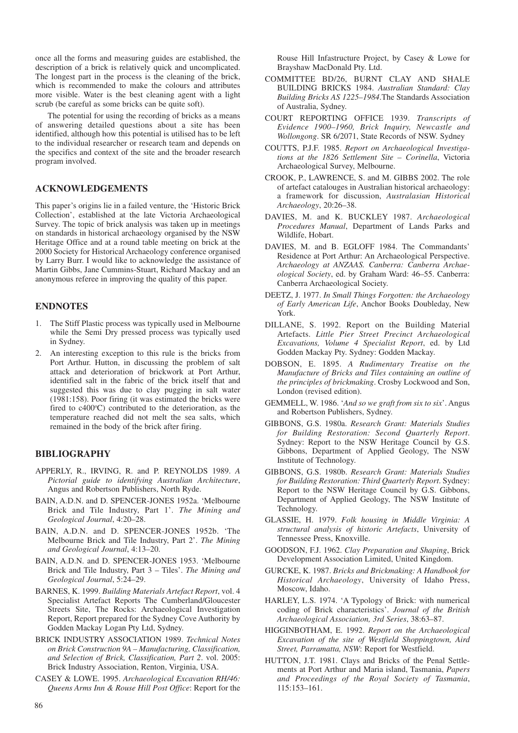once all the forms and measuring guides are established, the description of a brick is relatively quick and uncomplicated. The longest part in the process is the cleaning of the brick, which is recommended to make the colours and attributes more visible. Water is the best cleaning agent with a light scrub (be careful as some bricks can be quite soft).

The potential for using the recording of bricks as a means of answering detailed questions about a site has been identified, although how this potential is utilised has to be left to the individual researcher or research team and depends on the specifics and context of the site and the broader research program involved.

## **ACKNOWLEDGEMENTS**

This paper's origins lie in a failed venture, the 'Historic Brick Collection', established at the late Victoria Archaeological Survey. The topic of brick analysis was taken up in meetings on standards in historical archaeology organised by the NSW Heritage Office and at a round table meeting on brick at the 2000 Society for Historical Archaeology conference organised by Larry Burr. I would like to acknowledge the assistance of Martin Gibbs, Jane Cummins-Stuart, Richard Mackay and an anonymous referee in improving the quality of this paper.

## **ENDNOTES**

- 1. The Stiff Plastic process was typically used in Melbourne while the Semi Dry pressed process was typically used in Sydney.
- 2. An interesting exception to this rule is the bricks from Port Arthur. Hutton, in discussing the problem of salt attack and deterioration of brickwork at Port Arthur, identified salt in the fabric of the brick itself that and suggested this was due to clay pugging in salt water (1981:158). Poor firing (it was estimated the bricks were fired to c400°C) contributed to the deterioration, as the temperature reached did not melt the sea salts, which remained in the body of the brick after firing.

## **BIBLIOGRAPHY**

- APPERLY, R., IRVING, R. and P. REYNOLDS 1989. *A Pictorial guide to identifying Australian Architecture*, Angus and Robertson Publishers, North Ryde.
- BAIN, A.D.N. and D. SPENCER-JONES 1952a. 'Melbourne Brick and Tile Industry, Part 1'. *The Mining and Geological Journal*, 4:20–28.
- BAIN, A.D.N. and D. SPENCER-JONES 1952b. 'The Melbourne Brick and Tile Industry, Part 2'. *The Mining and Geological Journal*, 4:13–20.
- BAIN, A.D.N. and D. SPENCER-JONES 1953. 'Melbourne Brick and Tile Industry, Part 3 – Tiles'. *The Mining and Geological Journal*, 5:24–29.
- BARNES, K. 1999. *Building Materials Artefact Report*, vol. 4 Specialist Artefact Reports The Cumberland/Gloucester Streets Site, The Rocks: Archaeological Investigation Report, Report prepared for the Sydney Cove Authority by Godden Mackay Logan Pty Ltd, Sydney.
- BRICK INDUSTRY ASSOCIATION 1989. *Technical Notes on Brick Construction 9A – Manufacturing, Classification, and Selection of Brick, Classification, Part 2*. vol. 2005: Brick Industry Association, Renton, Virginia, USA.
- CASEY & LOWE. 1995. *Archaeological Excavation RH/46: Queens Arms Inn & Rouse Hill Post Office*: Report for the

Rouse Hill Infastructure Project, by Casey & Lowe for Brayshaw MacDonald Pty. Ltd.

- COMMITTEE BD/26, BURNT CLAY AND SHALE BUILDING BRICKS 1984. *Australian Standard: Clay Building Bricks AS 1225–1984*.The Standards Association of Australia, Sydney.
- COURT REPORTING OFFICE 1939. *Transcripts of Evidence 1900–1960, Brick Inquiry, Newcastle and Wollongong*. SR 6/2071, State Records of NSW. Sydney
- COUTTS, P.J.F. 1985. *Report on Archaeological Investigations at the 1826 Settlement Site – Corinella*, Victoria Archaeological Survey, Melbourne.
- CROOK, P., LAWRENCE, S. and M. GIBBS 2002. The role of artefact catalouges in Australian historical archaeology: a framework for discussion, *Australasian Historical Archaeology*, 20:26–38.
- DAVIES, M. and K. BUCKLEY 1987. *Archaeological Procedures Manual*, Department of Lands Parks and Wildlife, Hobart.
- DAVIES, M. and B. EGLOFF 1984. The Commandants' Residence at Port Arthur: An Archaeological Perspective. *Archaeology at ANZAAS. Canberra: Canberra Archaeological Society*, ed. by Graham Ward: 46–55. Canberra: Canberra Archaeological Society.
- DEETZ, J. 1977. *In Small Things Forgotten: the Archaeology of Early American Life*, Anchor Books Doubleday, New York.
- DILLANE, S. 1992. Report on the Building Material Artefacts. *Little Pier Street Precinct Archaeological Excavations, Volume 4 Specialist Report*, ed. by Ltd Godden Mackay Pty. Sydney: Godden Mackay.
- DOBSON, E. 1895. *A Rudimentary Treatise on the Manufacture of Bricks and Tiles containing an outline of the principles of brickmaking*. Crosby Lockwood and Son, London (revised edition).
- GEMMELL, W. 1986. '*And so we graft from six to six*'. Angus and Robertson Publishers, Sydney.
- GIBBONS, G.S. 1980a. *Research Grant: Materials Studies for Building Restoration: Second Quarterly Report*. Sydney: Report to the NSW Heritage Council by G.S. Gibbons, Department of Applied Geology, The NSW Institute of Technology.
- GIBBONS, G.S. 1980b. *Research Grant: Materials Studies for Building Restoration: Third Quarterly Report*. Sydney: Report to the NSW Heritage Council by G.S. Gibbons, Department of Applied Geology, The NSW Institute of Technology.
- GLASSIE, H. 1979. *Folk housing in Middle Virginia: A structural analysis of historic Artefacts*, University of Tennessee Press, Knoxville.
- GOODSON, F.J. 1962. *Clay Preparation and Shaping*, Brick Development Association Limited, United Kingdom.
- GURCKE, K. 1987. *Bricks and Brickmaking: A Handbook for Historical Archaeology*, University of Idaho Press, Moscow, Idaho.
- HARLEY, L.S. 1974. 'A Typology of Brick: with numerical coding of Brick characteristics'. *Journal of the British Archaeological Association, 3rd Series*, 38:63–87.
- HIGGINBOTHAM, E. 1992. *Report on the Archaeological Excavation of the site of Westfield Shoppingtown, Aird Street, Parramatta, NSW*: Report for Westfield.
- HUTTON, J.T. 1981. Clays and Bricks of the Penal Settlements at Port Arthur and Maria island, Tasmania, *Papers and Proceedings of the Royal Society of Tasmania*, 115:153–161.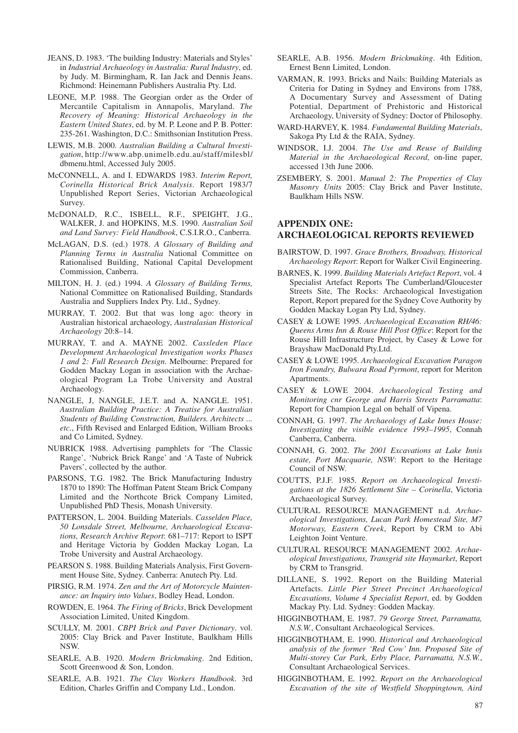- JEANS, D. 1983. 'The building Industry: Materials and Styles' in *Industrial Archaeology in Australia: Rural Industry*, ed. by Judy. M. Birmingham, R. Ian Jack and Dennis Jeans. Richmond: Heinemann Publishers Australia Pty. Ltd.
- LEONE, M.P. 1988. The Georgian order as the Order of Mercantile Capitalism in Annapolis, Maryland. *The Recovery of Meaning: Historical Archaeology in the Eastern United States*, ed. by M. P. Leone and P. B. Potter: 235-261. Washington, D.C.: Smithsonian Institution Press.
- LEWIS, M.B. 2000. *Australian Building a Cultural Investigation*, http://www.abp.unimelb.edu.au/staff/milesbl/ dbmenu.html, Accessed July 2005.
- McCONNELL, A. and I. EDWARDS 1983. *Interim Report, Corinella Historical Brick Analysis*. Report 1983/7 Unpublished Report Series, Victorian Archaeological Survey.
- McDONALD, R.C., ISBELL, R.F., SPEIGHT, J.G., WALKER, J. and HOPKINS, M.S. 1990. *Australian Soil and Land Survey: Field Handbook*, C.S.I.R.O., Canberra.
- McLAGAN, D.S. (ed.) 1978. *A Glossary of Building and Planning Terms in Australia* National Committee on Rationalised Building, National Capital Development Commission, Canberra.
- MILTON, H. J. (ed.) 1994. *A Glossary of Building Terms,* National Committee on Rationalised Building, Standards Australia and Suppliers Index Pty. Ltd., Sydney.
- MURRAY, T. 2002. But that was long ago: theory in Australian historical archaeology, *Australasian Historical Archaeology* 20:8–14.
- MURRAY, T. and A. MAYNE 2002. *Cassleden Place Development Archaeological Investigation works Phases 1 and 2: Full Research Design*. Melbourne: Prepared for Godden Mackay Logan in association with the Archaeological Program La Trobe University and Austral Archaeology.
- NANGLE, J, NANGLE, J.E.T. and A. NANGLE. 1951. *Australian Building Practice: A Treatise for Australian Students of Building Construction, Builders. Architects ... etc.*, Fifth Revised and Enlarged Edition, William Brooks and Co Limited, Sydney.
- NUBRICK 1988. Advertising pamphlets for 'The Classic Range', 'Nubrick Brick Range' and 'A Taste of Nubrick Pavers', collected by the author.
- PARSONS, T.G. 1982. The Brick Manufacturing Industry 1870 to 1890: The Hoffman Patent Steam Brick Company Limited and the Northcote Brick Company Limited, Unpublished PhD Thesis, Monash University.
- PATTERSON, L. 2004. Building Materials. *Casselden Place, 50 Lonsdale Street, Melbourne, Archaeological Excavations, Research Archive Report*: 681–717: Report to ISPT and Heritage Victoria by Godden Mackay Logan, La Trobe University and Austral Archaeology.
- PEARSON S. 1988. Building Materials Analysis, First Government House Site, Sydney. Canberra: Anutech Pty. Ltd.
- PIRSIG, R.M. 1974. *Zen and the Art of Motorcycle Maintenance: an Inquiry into Values*, Bodley Head, London.
- ROWDEN, E. 1964. *The Firing of Bricks*, Brick Development Association Limited, United Kingdom.
- SCULLY, M. 2001. *CBPI Brick and Paver Dictionary*. vol. 2005: Clay Brick and Paver Institute, Baulkham Hills NSW.
- SEARLE, A.B. 1920. *Modern Brickmaking*. 2nd Edition, Scott Greenwood & Son, London.
- SEARLE, A.B. 1921. *The Clay Workers Handbook*. 3rd Edition, Charles Griffin and Company Ltd., London.
- SEARLE, A.B. 1956. *Modern Brickmaking*. 4th Edition, Ernest Benn Limited, London.
- VARMAN, R. 1993. Bricks and Nails: Building Materials as Criteria for Dating in Sydney and Environs from 1788, A Documentary Survey and Assessment of Dating Potential, Department of Prehistoric and Historical Archaeology, University of Sydney: Doctor of Philosophy.
- WARD-HARVEY, K. 1984. *Fundamental Building Materials*, Sakoga Pty Ltd & the RAIA, Sydney.
- WINDSOR, I.J. 2004. *The Use and Reuse of Building Material in the Archaeological Record*, on-line paper, accessed 13th June 2006.
- ZSEMBERY, S. 2001. *Manual 2: The Properties of Clay Masonry Units* 2005: Clay Brick and Paver Institute, Baulkham Hills NSW.

# **APPENDIX ONE:**

## **ARCHAEOLOGICAL REPORTS REVIEWED**

- BAIRSTOW, D. 1997. *Grace Brothers, Broadway, Historical Archaeology Report*: Report for Walker Civil Engineering.
- BARNES, K. 1999. *Building Materials Artefact Report*, vol. 4 Specialist Artefact Reports The Cumberland/Gloucester Streets Site, The Rocks: Archaeological Investigation Report, Report prepared for the Sydney Cove Authority by Godden Mackay Logan Pty Ltd, Sydney.
- CASEY & LOWE 1995. *Archaeological Excavation RH/46: Queens Arms Inn & Rouse Hill Post Office*: Report for the Rouse Hill Infrastructure Project, by Casey & Lowe for Brayshaw MacDonald Pty.Ltd.
- CASEY & LOWE 1995. *Archaeological Excavation Paragon Iron Foundry, Bulwara Road Pyrmont*, report for Meriton Apartments.
- CASEY & LOWE 2004. *Archaeological Testing and Monitoring cnr George and Harris Streets Parramatta*: Report for Champion Legal on behalf of Vipena.
- CONNAH, G. 1997. *The Archaeology of Lake Innes House: Investigating the visible evidence 1993–1995*, Connah Canberra, Canberra.
- CONNAH, G. 2002. *The 2001 Excavations at Lake Innis estate, Port Macquarie, NSW*: Report to the Heritage Council of NSW.
- COUTTS, P.J.F. 1985. *Report on Archaeological Investigations at the 1826 Settlement Site – Corinella*, Victoria Archaeological Survey.
- CULTURAL RESOURCE MANAGEMENT n.d. *Archaeological Investigations, Lucan Park Homestead Site, M7 Motorway, Eastern Creek*, Report by CRM to Abi Leighton Joint Venture.
- CULTURAL RESOURCE MANAGEMENT 2002. *Archaeological Investigations, Transgrid site Haymarket*, Report by CRM to Transgrid.
- DILLANE, S. 1992. Report on the Building Material Artefacts. *Little Pier Street Precinct Archaeological Excavations, Volume 4 Specialist Report*, ed. by Godden Mackay Pty. Ltd. Sydney: Godden Mackay.
- HIGGINBOTHAM, E. 1987. *79 George Street, Parramatta, N.S.W.*, Consultant Archaeological Services.
- HIGGINBOTHAM, E. 1990. *Historical and Archaeological analysis of the former 'Red Cow' Inn. Proposed Site of Multi-storey Car Park, Erby Place, Parramatta, N.S.W.*, Consultant Archaeological Services.
- HIGGINBOTHAM, E. 1992. *Report on the Archaeological Excavation of the site of Westfield Shoppingtown, Aird*